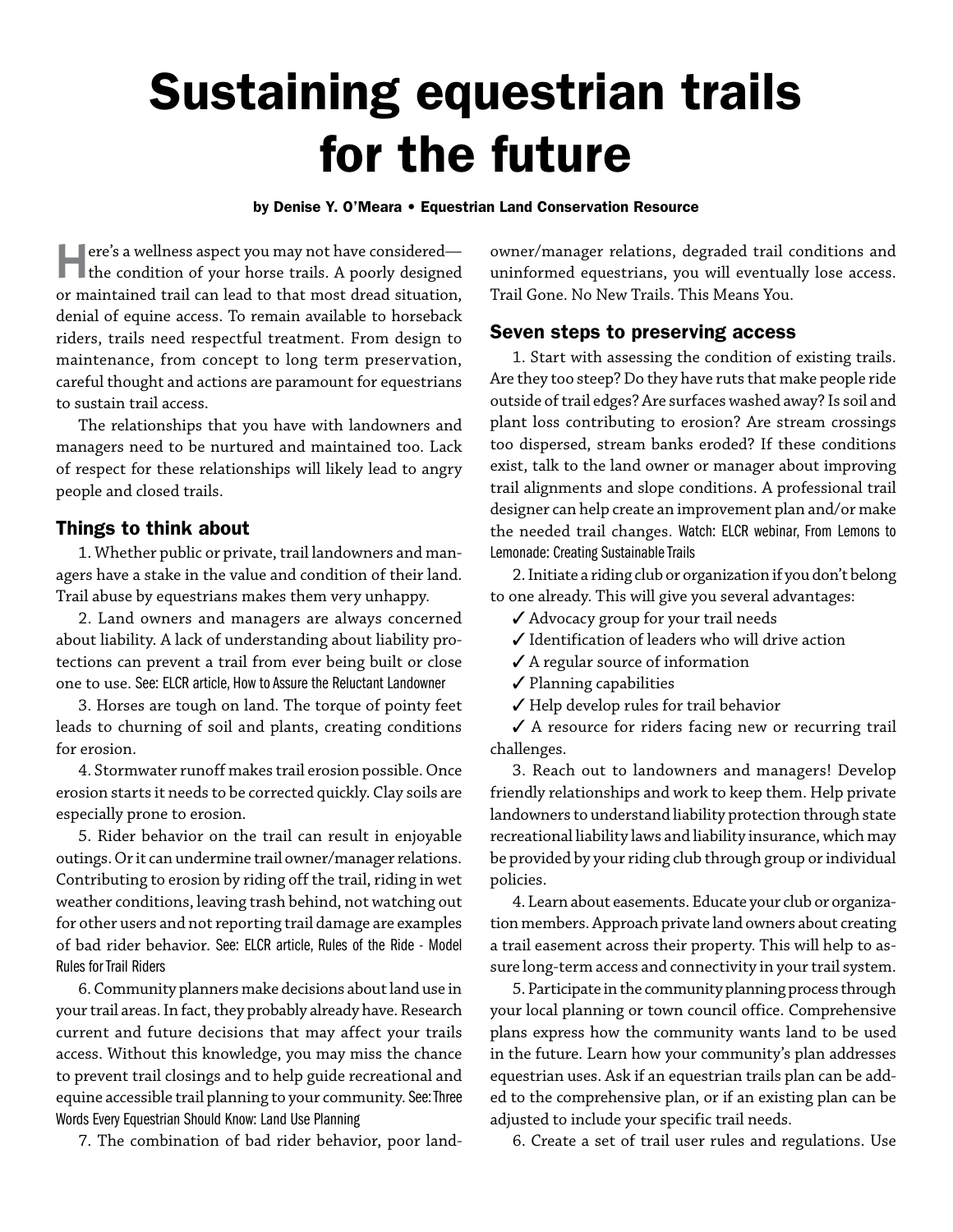# Sustaining equestrian trails for the future

#### by Denise Y. O'Meara • Equestrian Land Conservation Resource

Here's a wellness aspect you may not have considered— the condition of your horse trails. A poorly designed or maintained trail can lead to that most dread situation, denial of equine access. To remain available to horseback riders, trails need respectful treatment. From design to maintenance, from concept to long term preservation, careful thought and actions are paramount for equestrians to sustain trail access.

The relationships that you have with landowners and managers need to be nurtured and maintained too. Lack of respect for these relationships will likely lead to angry people and closed trails.

### Things to think about

1. Whether public or private, trail landowners and managers have a stake in the value and condition of their land. Trail abuse by equestrians makes them very unhappy.

2. Land owners and managers are always concerned about liability. A lack of understanding about liability protections can prevent a trail from ever being built or close one to use. See: ELCR article, How to Assure the Reluctant Landowner

3. Horses are tough on land. The torque of pointy feet leads to churning of soil and plants, creating conditions for erosion.

4. Stormwater runoff makes trail erosion possible. Once erosion starts it needs to be corrected quickly. Clay soils are especially prone to erosion.

5. Rider behavior on the trail can result in enjoyable outings. Or it can undermine trail owner/manager relations. Contributing to erosion by riding off the trail, riding in wet weather conditions, leaving trash behind, not watching out for other users and not reporting trail damage are examples of bad rider behavior. See: ELCR article, Rules of the Ride - Model Rules for Trail Riders

6. Community planners make decisions about land use in your trail areas. In fact, they probably already have. Research current and future decisions that may affect your trails access. Without this knowledge, you may miss the chance to prevent trail closings and to help guide recreational and equine accessible trail planning to your community. See:Three Words Every Equestrian Should Know: Land Use Planning

7. The combination of bad rider behavior, poor land-

owner/manager relations, degraded trail conditions and uninformed equestrians, you will eventually lose access. Trail Gone. No New Trails. This Means You.

# Seven steps to preserving access

1. Start with assessing the condition of existing trails. Are they too steep? Do they have ruts that make people ride outside of trail edges? Are surfaces washed away? Is soil and plant loss contributing to erosion? Are stream crossings too dispersed, stream banks eroded? If these conditions exist, talk to the land owner or manager about improving trail alignments and slope conditions. A professional trail designer can help create an improvement plan and/or make the needed trail changes. Watch: ELCR webinar, From Lemons to Lemonade: Creating Sustainable Trails

2. Initiate a riding club or organization if you don't belong to one already. This will give you several advantages:

 $\checkmark$  Advocacy group for your trail needs

- $\boldsymbol{\checkmark}$ Identification of leaders who will drive action
- $\checkmark$  A regular source of information
- $\checkmark$  Planning capabilities
- $\checkmark$  Help develop rules for trail behavior

 $\checkmark$  A resource for riders facing new or recurring trail challenges.

3. Reach out to landowners and managers! Develop friendly relationships and work to keep them. Help private landowners to understand liability protection through state recreational liability laws and liability insurance, which may be provided by your riding club through group or individual policies.

4. Learn about easements. Educate your club or organization members. Approach private land owners about creating a trail easement across their property. This will help to assure long-term access and connectivity in your trail system.

5. Participate in the community planning process through your local planning or town council office. Comprehensive plans express how the community wants land to be used in the future. Learn how your community's plan addresses equestrian uses. Ask if an equestrian trails plan can be added to the comprehensive plan, or if an existing plan can be adjusted to include your specific trail needs.

6. Create a set of trail user rules and regulations. Use